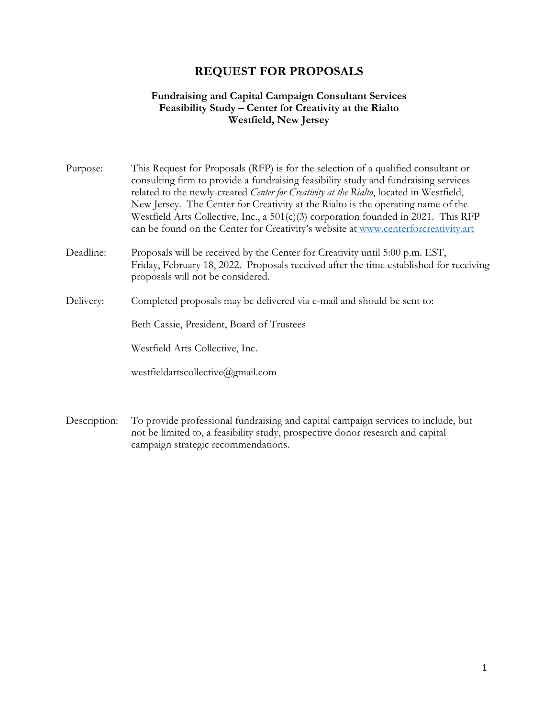# **REQUEST FOR PROPOSALS**

## **Fundraising and Capital Campaign Consultant Services Feasibility Study – Center for Creativity at the Rialto Westfield, New Jersey**

| Purpose:  | This Request for Proposals (RFP) is for the selection of a qualified consultant or<br>consulting firm to provide a fundraising feasibility study and fundraising services<br>related to the newly-created Center for Creativity at the Rialto, located in Westfield,<br>New Jersey. The Center for Creativity at the Rialto is the operating name of the<br>Westfield Arts Collective, Inc., a 501(c)(3) corporation founded in 2021. This RFP<br>can be found on the Center for Creativity's website at www.centerforcreativity.art |
|-----------|--------------------------------------------------------------------------------------------------------------------------------------------------------------------------------------------------------------------------------------------------------------------------------------------------------------------------------------------------------------------------------------------------------------------------------------------------------------------------------------------------------------------------------------|
| Deadline: | Proposals will be received by the Center for Creativity until 5:00 p.m. EST,<br>Friday, February 18, 2022. Proposals received after the time established for receiving<br>proposals will not be considered.                                                                                                                                                                                                                                                                                                                          |
| Delivery: | Completed proposals may be delivered via e-mail and should be sent to:                                                                                                                                                                                                                                                                                                                                                                                                                                                               |
|           | Beth Cassie, President, Board of Trustees                                                                                                                                                                                                                                                                                                                                                                                                                                                                                            |
|           | Westfield Arts Collective, Inc.                                                                                                                                                                                                                                                                                                                                                                                                                                                                                                      |
|           | westfieldartscollective@gmail.com                                                                                                                                                                                                                                                                                                                                                                                                                                                                                                    |
|           |                                                                                                                                                                                                                                                                                                                                                                                                                                                                                                                                      |

Description: To provide professional fundraising and capital campaign services to include, but not be limited to, a feasibility study, prospective donor research and capital campaign strategic recommendations.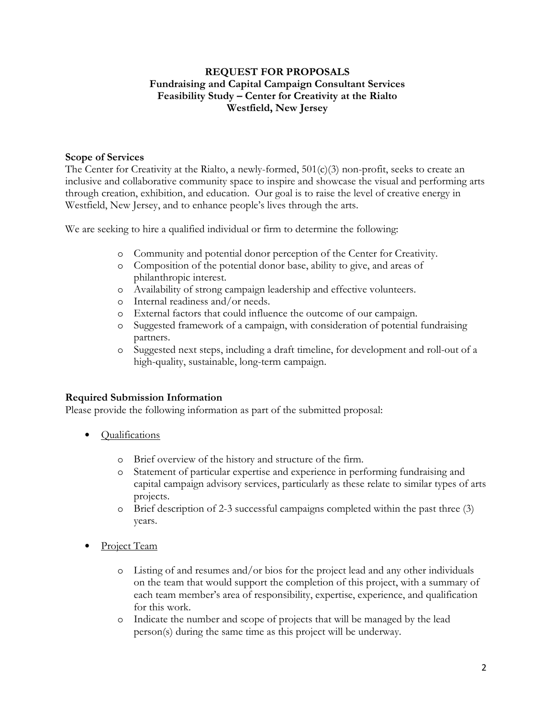## **REQUEST FOR PROPOSALS Fundraising and Capital Campaign Consultant Services Feasibility Study – Center for Creativity at the Rialto Westfield, New Jersey**

#### **Scope of Services**

The Center for Creativity at the Rialto, a newly-formed,  $501(c)(3)$  non-profit, seeks to create an inclusive and collaborative community space to inspire and showcase the visual and performing arts through creation, exhibition, and education. Our goal is to raise the level of creative energy in Westfield, New Jersey, and to enhance people's lives through the arts.

We are seeking to hire a qualified individual or firm to determine the following:

- o Community and potential donor perception of the Center for Creativity.
- o Composition of the potential donor base, ability to give, and areas of philanthropic interest.
- o Availability of strong campaign leadership and effective volunteers.
- o Internal readiness and/or needs.
- o External factors that could influence the outcome of our campaign.
- o Suggested framework of a campaign, with consideration of potential fundraising partners.
- o Suggested next steps, including a draft timeline, for development and roll-out of a high-quality, sustainable, long-term campaign.

#### **Required Submission Information**

Please provide the following information as part of the submitted proposal:

- Qualifications
	- o Brief overview of the history and structure of the firm.
	- o Statement of particular expertise and experience in performing fundraising and capital campaign advisory services, particularly as these relate to similar types of arts projects.
	- o Brief description of 2-3 successful campaigns completed within the past three (3) years.
- Project Team
	- o Listing of and resumes and/or bios for the project lead and any other individuals on the team that would support the completion of this project, with a summary of each team member's area of responsibility, expertise, experience, and qualification for this work.
	- o Indicate the number and scope of projects that will be managed by the lead person(s) during the same time as this project will be underway.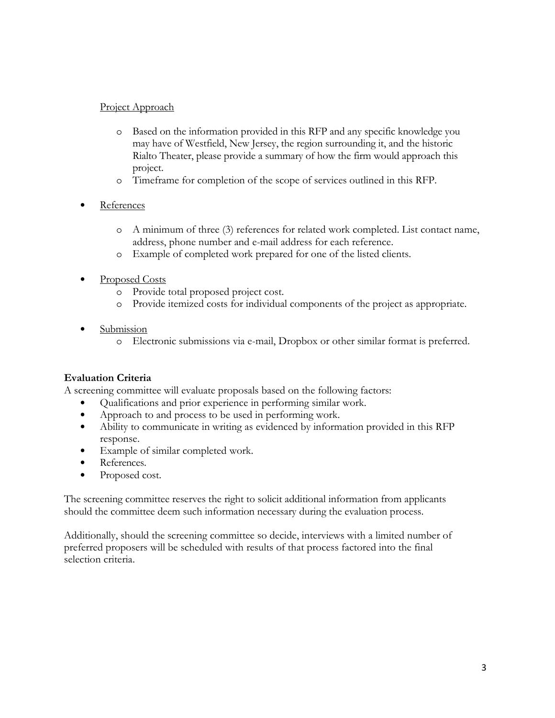# Project Approach

- o Based on the information provided in this RFP and any specific knowledge you may have of Westfield, New Jersey, the region surrounding it, and the historic Rialto Theater, please provide a summary of how the firm would approach this project.
- o Timeframe for completion of the scope of services outlined in this RFP.
- **References** 
	- o A minimum of three (3) references for related work completed. List contact name, address, phone number and e-mail address for each reference.
	- o Example of completed work prepared for one of the listed clients.
- Proposed Costs
	- o Provide total proposed project cost.
	- o Provide itemized costs for individual components of the project as appropriate.
- Submission
	- o Electronic submissions via e-mail, Dropbox or other similar format is preferred.

# **Evaluation Criteria**

A screening committee will evaluate proposals based on the following factors:

- Qualifications and prior experience in performing similar work.
- Approach to and process to be used in performing work.
- Ability to communicate in writing as evidenced by information provided in this RFP response.
- Example of similar completed work.
- References.
- Proposed cost.

The screening committee reserves the right to solicit additional information from applicants should the committee deem such information necessary during the evaluation process.

Additionally, should the screening committee so decide, interviews with a limited number of preferred proposers will be scheduled with results of that process factored into the final selection criteria.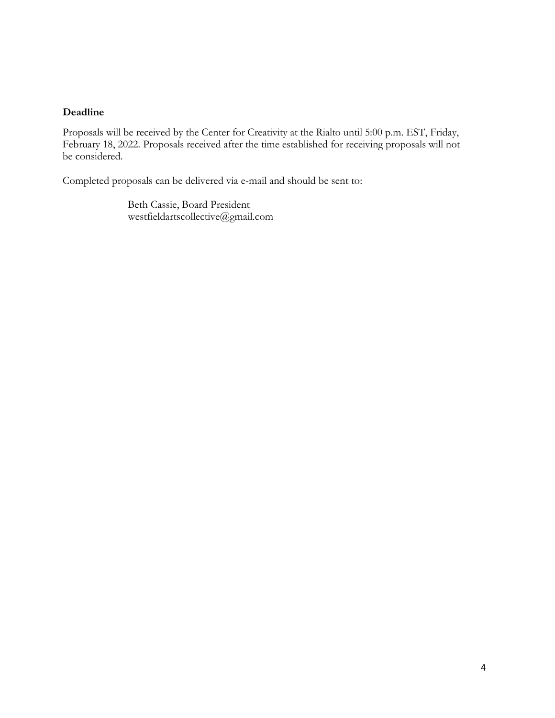#### **Deadline**

Proposals will be received by the Center for Creativity at the Rialto until 5:00 p.m. EST, Friday, February 18, 2022. Proposals received after the time established for receiving proposals will not be considered.

Completed proposals can be delivered via e-mail and should be sent to:

Beth Cassie, Board President westfieldartscollective@gmail.com